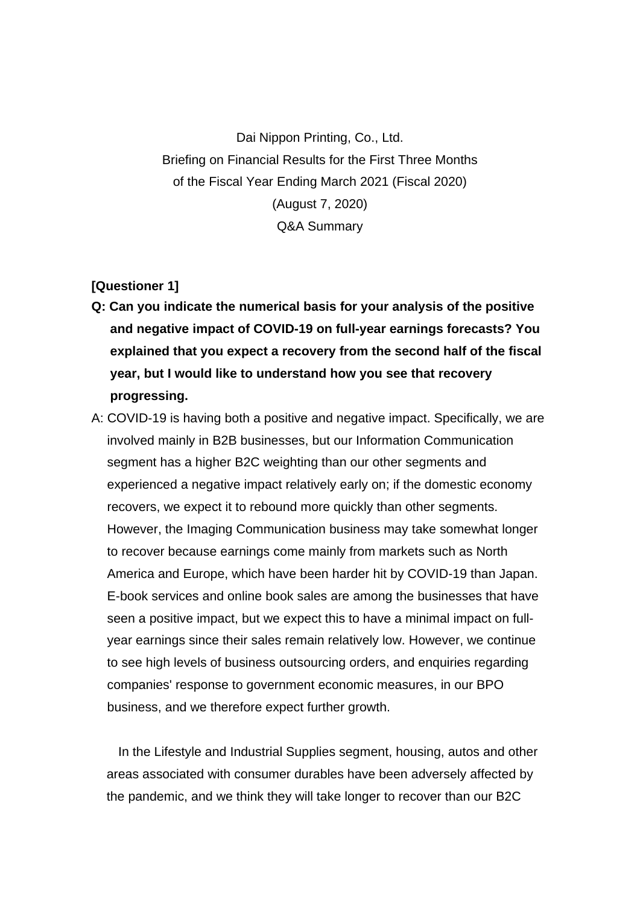Dai Nippon Printing, Co., Ltd. Briefing on Financial Results for the First Three Months of the Fiscal Year Ending March 2021 (Fiscal 2020) (August 7, 2020) Q&A Summary

**[Questioner 1]**

- **Q: Can you indicate the numerical basis for your analysis of the positive and negative impact of COVID-19 on full-year earnings forecasts? You explained that you expect a recovery from the second half of the fiscal year, but I would like to understand how you see that recovery progressing.**
- A: COVID-19 is having both a positive and negative impact. Specifically, we are involved mainly in B2B businesses, but our Information Communication segment has a higher B2C weighting than our other segments and experienced a negative impact relatively early on; if the domestic economy recovers, we expect it to rebound more quickly than other segments. However, the Imaging Communication business may take somewhat longer to recover because earnings come mainly from markets such as North America and Europe, which have been harder hit by COVID-19 than Japan. E-book services and online book sales are among the businesses that have seen a positive impact, but we expect this to have a minimal impact on fullyear earnings since their sales remain relatively low. However, we continue to see high levels of business outsourcing orders, and enquiries regarding companies' response to government economic measures, in our BPO business, and we therefore expect further growth.

In the Lifestyle and Industrial Supplies segment, housing, autos and other areas associated with consumer durables have been adversely affected by the pandemic, and we think they will take longer to recover than our B2C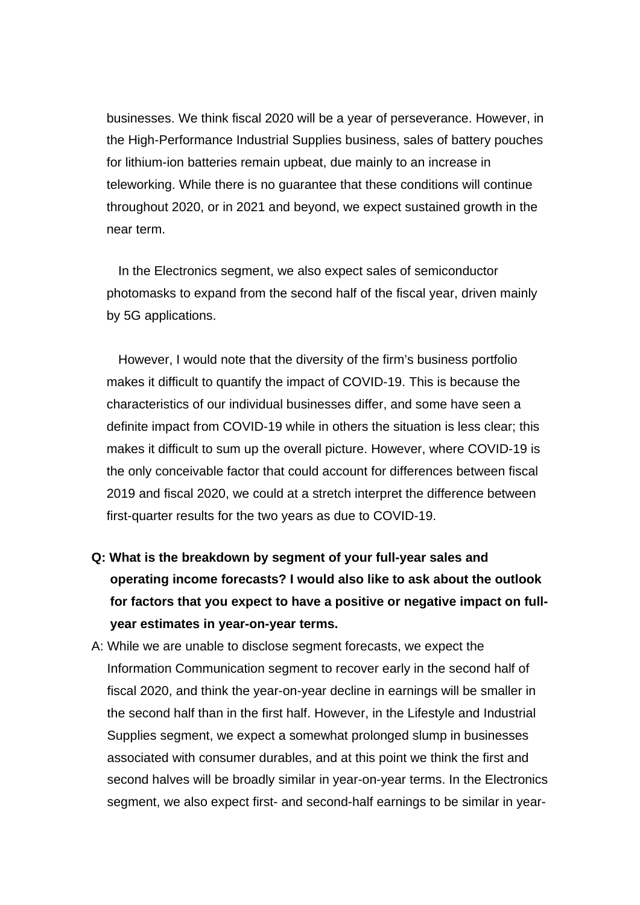businesses. We think fiscal 2020 will be a year of perseverance. However, in the High-Performance Industrial Supplies business, sales of battery pouches for lithium-ion batteries remain upbeat, due mainly to an increase in teleworking. While there is no guarantee that these conditions will continue throughout 2020, or in 2021 and beyond, we expect sustained growth in the near term.

In the Electronics segment, we also expect sales of semiconductor photomasks to expand from the second half of the fiscal year, driven mainly by 5G applications.

However, I would note that the diversity of the firm's business portfolio makes it difficult to quantify the impact of COVID-19. This is because the characteristics of our individual businesses differ, and some have seen a definite impact from COVID-19 while in others the situation is less clear; this makes it difficult to sum up the overall picture. However, where COVID-19 is the only conceivable factor that could account for differences between fiscal 2019 and fiscal 2020, we could at a stretch interpret the difference between first-quarter results for the two years as due to COVID-19.

- **Q: What is the breakdown by segment of your full-year sales and operating income forecasts? I would also like to ask about the outlook for factors that you expect to have a positive or negative impact on fullyear estimates in year-on-year terms.**
- A: While we are unable to disclose segment forecasts, we expect the Information Communication segment to recover early in the second half of fiscal 2020, and think the year-on-year decline in earnings will be smaller in the second half than in the first half. However, in the Lifestyle and Industrial Supplies segment, we expect a somewhat prolonged slump in businesses associated with consumer durables, and at this point we think the first and second halves will be broadly similar in year-on-year terms. In the Electronics segment, we also expect first- and second-half earnings to be similar in year-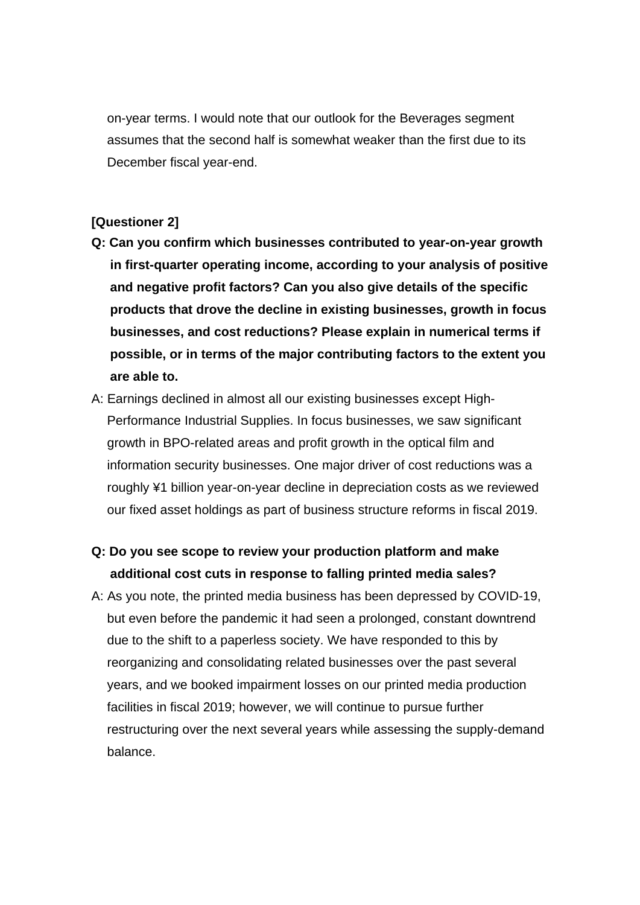on-year terms. I would note that our outlook for the Beverages segment assumes that the second half is somewhat weaker than the first due to its December fiscal year-end.

## **[Questioner 2]**

- **Q: Can you confirm which businesses contributed to year-on-year growth in first-quarter operating income, according to your analysis of positive and negative profit factors? Can you also give details of the specific products that drove the decline in existing businesses, growth in focus businesses, and cost reductions? Please explain in numerical terms if possible, or in terms of the major contributing factors to the extent you are able to.**
- A: Earnings declined in almost all our existing businesses except High-Performance Industrial Supplies. In focus businesses, we saw significant growth in BPO-related areas and profit growth in the optical film and information security businesses. One major driver of cost reductions was a roughly ¥1 billion year-on-year decline in depreciation costs as we reviewed our fixed asset holdings as part of business structure reforms in fiscal 2019.

## **Q: Do you see scope to review your production platform and make additional cost cuts in response to falling printed media sales?**

A: As you note, the printed media business has been depressed by COVID-19, but even before the pandemic it had seen a prolonged, constant downtrend due to the shift to a paperless society. We have responded to this by reorganizing and consolidating related businesses over the past several years, and we booked impairment losses on our printed media production facilities in fiscal 2019; however, we will continue to pursue further restructuring over the next several years while assessing the supply-demand balance.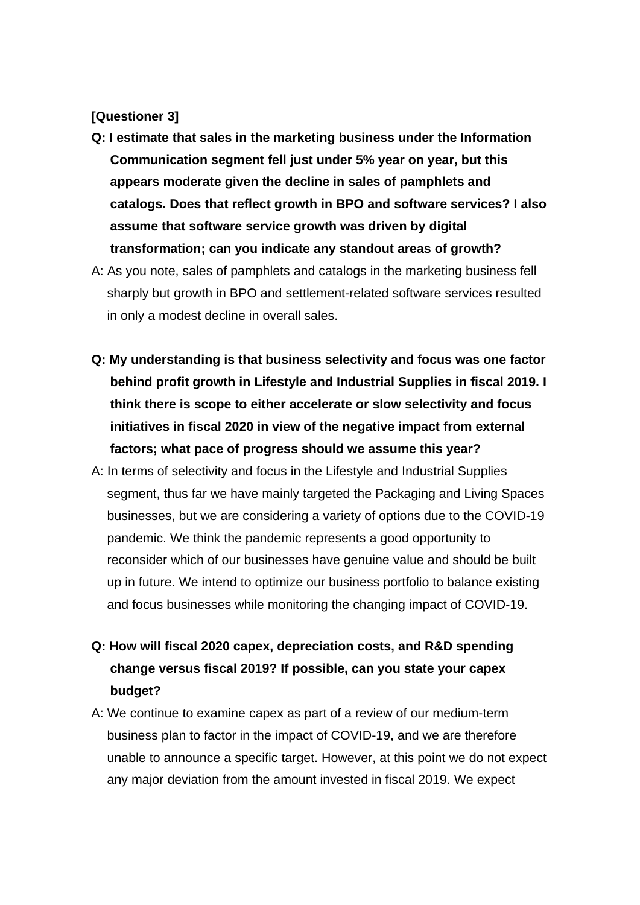## **[Questioner 3]**

- **Q: I estimate that sales in the marketing business under the Information Communication segment fell just under 5% year on year, but this appears moderate given the decline in sales of pamphlets and catalogs. Does that reflect growth in BPO and software services? I also assume that software service growth was driven by digital transformation; can you indicate any standout areas of growth?**
- A: As you note, sales of pamphlets and catalogs in the marketing business fell sharply but growth in BPO and settlement-related software services resulted in only a modest decline in overall sales.
- **Q: My understanding is that business selectivity and focus was one factor behind profit growth in Lifestyle and Industrial Supplies in fiscal 2019. I think there is scope to either accelerate or slow selectivity and focus initiatives in fiscal 2020 in view of the negative impact from external factors; what pace of progress should we assume this year?**
- A: In terms of selectivity and focus in the Lifestyle and Industrial Supplies segment, thus far we have mainly targeted the Packaging and Living Spaces businesses, but we are considering a variety of options due to the COVID-19 pandemic. We think the pandemic represents a good opportunity to reconsider which of our businesses have genuine value and should be built up in future. We intend to optimize our business portfolio to balance existing and focus businesses while monitoring the changing impact of COVID-19.
- **Q: How will fiscal 2020 capex, depreciation costs, and R&D spending change versus fiscal 2019? If possible, can you state your capex budget?**
- A: We continue to examine capex as part of a review of our medium-term business plan to factor in the impact of COVID-19, and we are therefore unable to announce a specific target. However, at this point we do not expect any major deviation from the amount invested in fiscal 2019. We expect